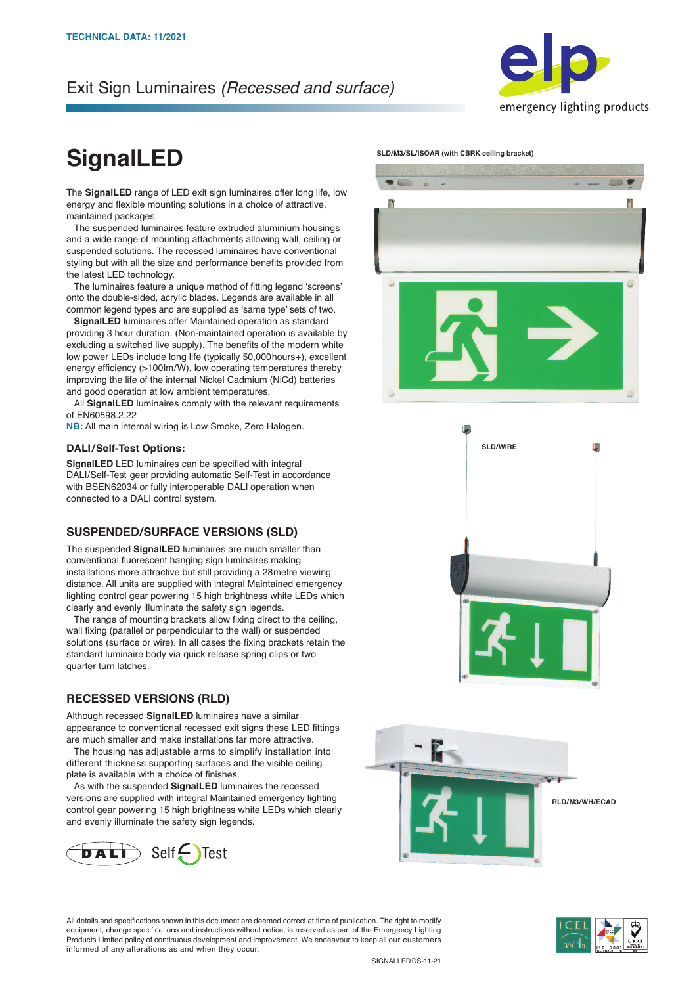## Exit Sign Luminaires *(Recessed and surface)*



# **SignalLED**

The **SignalLED** range of LED exit sign luminaires offer long life, low energy and flexible mounting solutions in a choice of attractive, maintained packages.

 The suspended luminaires feature extruded aluminium housings and a wide range of mounting attachments allowing wall, ceiling or suspended solutions. The recessed luminaires have conventional styling but with all the size and performance benefits provided from the latest LED technology.

 The luminaires feature a unique method of fitting legend 'screens' onto the double-sided, acrylic blades. Legends are available in all common legend types and are supplied as 'same type' sets of two.

 **SignalLED** luminaires offer Maintained operation as standard providing 3 hour duration. (Non-maintained operation is available by excluding a switched live supply). The benefits of the modern white low power LEDs include long life (typically 50,000hours+), excellent energy efficiency (>100lm/W), low operating temperatures thereby improving the life of the internal Nickel Cadmium (NiCd) batteries and good operation at low ambient temperatures.

 All **SignalLED** luminaires comply with the relevant requirements of EN60598.2.22

**NB:** All main internal wiring is Low Smoke, Zero Halogen.

#### **DALI/Self-Test Options:**

**SignalLED** LED luminaires can be specified with integral DALI/Self-Test gear providing automatic Self-Test in accordance with BSEN62034 or fully interoperable DALI operation when connected to a DALI control system.

### **SUSPENDED/SURFACE VERSIONS (SLD)**

The suspended **SignalLED** luminaires are much smaller than conventional fluorescent hanging sign luminaires making installations more attractive but still providing a 28metre viewing distance. All units are supplied with integral Maintained emergency lighting control gear powering 15 high brightness white LEDs which clearly and evenly illuminate the safety sign legends.

 The range of mounting brackets allow fixing direct to the ceiling, wall fixing (parallel or perpendicular to the wall) or suspended solutions (surface or wire). In all cases the fixing brackets retain the standard luminaire body via quick release spring clips or two quarter turn latches.

## **RECESSED VERSIONS (RLD)**

Although recessed **SignalLED** luminaires have a similar appearance to conventional recessed exit signs these LED fittings are much smaller and make installations far more attractive.

 The housing has adjustable arms to simplify installation into different thickness supporting surfaces and the visible ceiling plate is available with a choice of finishes.

 As with the suspended **SignalLED** luminaires the recessed versions are supplied with integral Maintained emergency lighting control gear powering 15 high brightness white LEDs which clearly and evenly illuminate the safety sign legends.









All details and specifications shown in this document are deemed correct at time of publication. The right to modify equipment, change specifications and instructions without notice, is reserved as part of the Emergency Lighting Products Limited policy of continuous development and improvement. We endeavour to keep all our customers informed of any alterations as and when they occur.